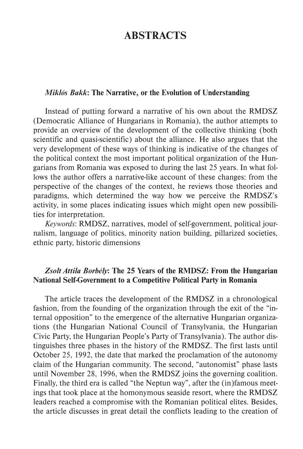# **ABSTRACTS**

#### *Miklós Bakk***: The Narrative, or the Evolution of Understanding**

Instead of putting forward a narrative of his own about the RMDSZ (Democratic Alliance of Hungarians in Romania), the author attempts to provide an overview of the development of the collective thinking (both scientific and quasi-scientific) about the alliance. He also argues that the very development of these ways of thinking is indicative of the changes of the political context the most important political organization of the Hungarians from Romania was exposed to during the last 25 years. In what follows the author offers a narrative-like account of these changes: from the perspective of the changes of the context, he reviews those theories and paradigms, which determined the way how we perceive the RMDSZ's activity, in some places indicating issues which might open new possibilities for interpretation.

*Keywords*: RMDSZ, narratives, model of self-government, political journalism, language of politics, minority nation building, pillarized societies, ethnic party, historic dimensions

## *Zsolt Attila Borbély***: The 25 Years of the RMDSZ: From the Hungarian National Self-Government to a Competitive Political Party in Romania**

The article traces the development of the RMDSZ in a chronological fashion, from the founding of the organization through the exit of the "internal opposition" to the emergence of the alternative Hungarian organizations (the Hungarian National Council of Transylvania, the Hungarian Civic Party, the Hungarian People's Party of Transylvania). The author distinguishes three phases in the history of the RMDSZ. The first lasts until October 25, 1992, the date that marked the proclamation of the autonomy claim of the Hungarian community. The second, "autonomist" phase lasts until November 28, 1996, when the RMDSZ joins the governing coalition. Finally, the third era is called "the Neptun way", after the (in)famous meetings that took place at the homonymous seaside resort, where the RMDSZ leaders reached a compromise with the Romanian political elites. Besides, the article discusses in great detail the conflicts leading to the creation of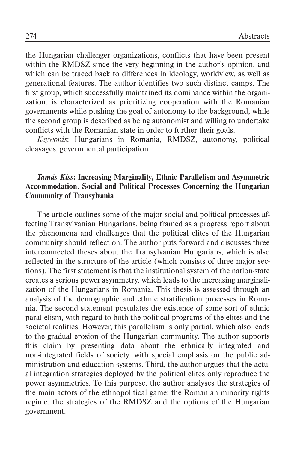the Hungarian challenger organizations, conflicts that have been present within the RMDSZ since the very beginning in the author's opinion, and which can be traced back to differences in ideology, worldview, as well as generational features. The author identifies two such distinct camps. The first group, which successfully maintained its dominance within the organization, is characterized as prioritizing cooperation with the Romanian governments while pushing the goal of autonomy to the background, while the second group is described as being autonomist and willing to undertake conflicts with the Romanian state in order to further their goals.

*Keywords*: Hungarians in Romania, RMDSZ, autonomy, political cleavages, governmental participation

## *Tamás Kiss***: Increasing Marginality, Ethnic Parallelism and Asymmetric Accommodation. Social and Political Processes Concerning the Hungarian Community of Transylvania**

The article outlines some of the major social and political processes affecting Transylvanian Hungarians, being framed as a progress report about the phenomena and challenges that the political elites of the Hungarian community should reflect on. The author puts forward and discusses three interconnected theses about the Transylvanian Hungarians, which is also reflected in the structure of the article (which consists of three major sections). The first statement is that the institutional system of the nation-state creates a serious power asymmetry, which leads to the increasing marginalization of the Hungarians in Romania. This thesis is assessed through an analysis of the demographic and ethnic stratification processes in Romania. The second statement postulates the existence of some sort of ethnic parallelism, with regard to both the political programs of the elites and the societal realities. However, this parallelism is only partial, which also leads to the gradual erosion of the Hungarian community. The author supports this claim by presenting data about the ethnically integrated and non-integrated fields of society, with special emphasis on the public administration and education systems. Third, the author argues that the actual integration strategies deployed by the political elites only reproduce the power asymmetries. To this purpose, the author analyses the strategies of the main actors of the ethnopolitical game: the Romanian minority rights regime, the strategies of the RMDSZ and the options of the Hungarian government.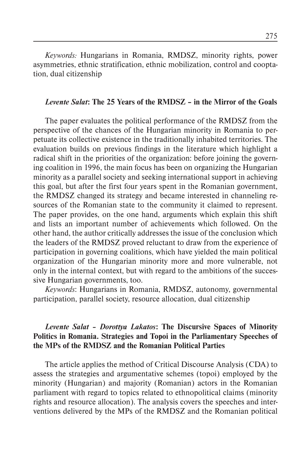*Keywords:* Hungarians in Romania, RMDSZ, minority rights, power asymmetries, ethnic stratification, ethnic mobilization, control and cooptation, dual citizenship

#### *Levente Salat***: The 25 Years of the RMDSZ – in the Mirror of the Goals**

The paper evaluates the political performance of the RMDSZ from the perspective of the chances of the Hungarian minority in Romania to perpetuate its collective existence in the traditionally inhabited territories. The evaluation builds on previous findings in the literature which highlight a radical shift in the priorities of the organization: before joining the governing coalition in 1996, the main focus has been on organizing the Hungarian minority as a parallel society and seeking international support in achieving this goal, but after the first four years spent in the Romanian government, the RMDSZ changed its strategy and became interested in channeling resources of the Romanian state to the community it claimed to represent. The paper provides, on the one hand, arguments which explain this shift and lists an important number of achievements which followed. On the other hand, the author critically addresses the issue of the conclusion which the leaders of the RMDSZ proved reluctant to draw from the experience of participation in governing coalitions, which have yielded the main political organization of the Hungarian minority more and more vulnerable, not only in the internal context, but with regard to the ambitions of the successive Hungarian governments, too.

*Keywords*: Hungarians in Romania, RMDSZ, autonomy, governmental participation, parallel society, resource allocation, dual citizenship

## *Levente Salat – Dorottya Lakatos***: The Discursive Spaces of Minority Politics in Romania. Strategies and Topoi in the Parliamentary Speeches of the MPs of the RMDSZ and the Romanian Political Parties**

The article applies the method of Critical Discourse Analysis (CDA) to assess the strategies and argumentative schemes (topoi) employed by the minority (Hungarian) and majority (Romanian) actors in the Romanian parliament with regard to topics related to ethnopolitical claims (minority rights and resource allocation). The analysis covers the speeches and interventions delivered by the MPs of the RMDSZ and the Romanian political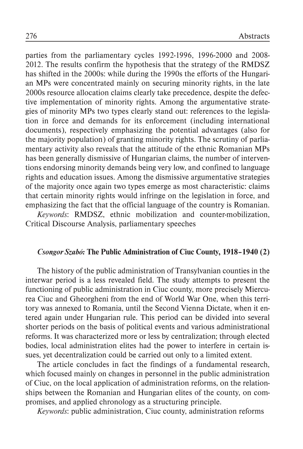parties from the parliamentary cycles 1992-1996, 1996-2000 and 2008- 2012. The results confirm the hypothesis that the strategy of the RMDSZ has shifted in the 2000s: while during the 1990s the efforts of the Hungarian MPs were concentrated mainly on securing minority rights, in the late 2000s resource allocation claims clearly take precedence, despite the defective implementation of minority rights. Among the argumentative strategies of minority MPs two types clearly stand out: references to the legislation in force and demands for its enforcement (including international documents), respectively emphasizing the potential advantages (also for the majority population) of granting minority rights. The scrutiny of parliamentary activity also reveals that the attitude of the ethnic Romanian MPs has been generally dismissive of Hungarian claims, the number of interventions endorsing minority demands being very low, and confined to language rights and education issues. Among the dismissive argumentative strategies of the majority once again two types emerge as most characteristic: claims that certain minority rights would infringe on the legislation in force, and emphasizing the fact that the official language of the country is Romanian.

*Keywords*: RMDSZ, ethnic mobilization and counter-mobilization, Critical Discourse Analysis, parliamentary speeches

# *Csongor Szabó:* **The Public Administration of Ciuc County, 1918–1940 (2)**

The history of the public administration of Transylvanian counties in the interwar period is a less revealed field. The study attempts to present the functioning of public administration in Ciuc county, more precisely Miercurea Ciuc and Gheorgheni from the end of World War One, when this territory was annexed to Romania, until the Second Vienna Dictate, when it entered again under Hungarian rule. This period can be divided into several shorter periods on the basis of political events and various administrational reforms. It was characterized more or less by centralization; through elected bodies, local administration elites had the power to interfere in certain issues, yet decentralization could be carried out only to a limited extent.

The article concludes in fact the findings of a fundamental research, which focused mainly on changes in personnel in the public administration of Ciuc, on the local application of administration reforms, on the relationships between the Romanian and Hungarian elites of the county, on compromises, and applied chronology as a structuring principle.

*Keywords*: public administration, Ciuc county, administration reforms